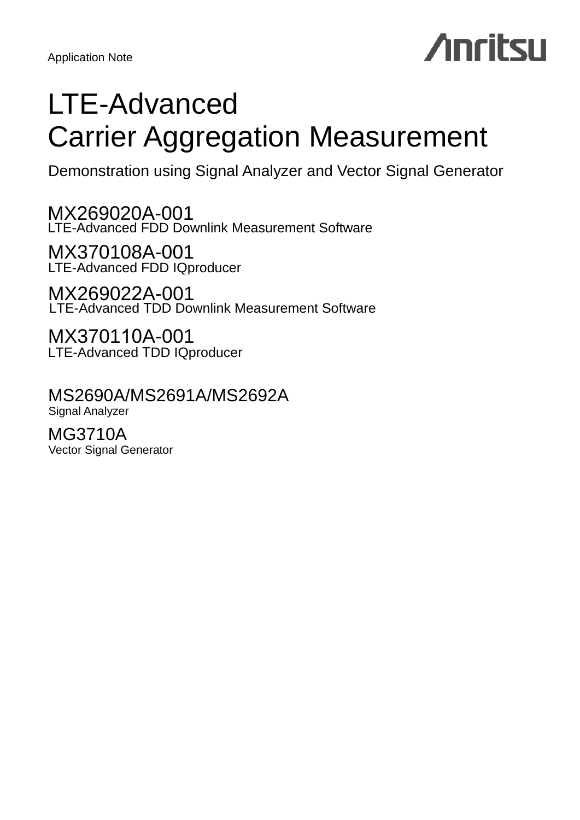Application Note

## **Anritsu**

## LTE-Advanced Carrier Aggregation Measurement

Demonstration using Signal Analyzer and Vector Signal Generator

MX269020A-001 LTE-Advanced FDD Downlink Measurement Software

MX370108A-001 LTE-Advanced FDD IQproducer

MX269022A-001 LTE-Advanced TDD Downlink Measurement Software

MX370110A-001 LTE-Advanced TDD IQproducer

MS2690A/MS2691A/MS2692A Signal Analyzer

MG3710A Vector Signal Generator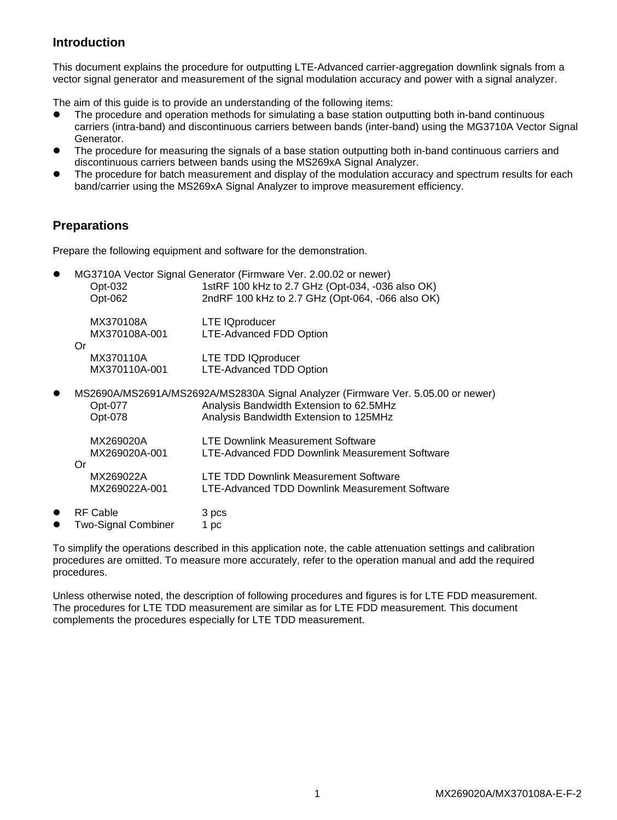## **Introduction**

This document explains the procedure for outputting LTE-Advanced carrier-aggregation downlink signals from a vector signal generator and measurement of the signal modulation accuracy and power with a signal analyzer.

The aim of this guide is to provide an understanding of the following items:

- The procedure and operation methods for simulating a base station outputting both in-band continuous carriers (intra-band) and discontinuous carriers between bands (inter-band) using the MG3710A Vector Signal Generator.
- The procedure for measuring the signals of a base station outputting both in-band continuous carriers and discontinuous carriers between bands using the MS269xA Signal Analyzer.
- The procedure for batch measurement and display of the modulation accuracy and spectrum results for each band/carrier using the MS269xA Signal Analyzer to improve measurement efficiency.

## **Preparations**

Prepare the following equipment and software for the demonstration.

|                            | MG3710A Vector Signal Generator (Firmware Ver. 2.00.02 or newer)                                                            |
|----------------------------|-----------------------------------------------------------------------------------------------------------------------------|
| Opt-032<br>Opt-062         | 1stRF 100 kHz to 2.7 GHz (Opt-034, -036 also OK)<br>2ndRF 100 kHz to 2.7 GHz (Opt-064, -066 also OK)                        |
|                            |                                                                                                                             |
| MX370108A                  | LTE IQproducer                                                                                                              |
| MX370108A-001              | LTE-Advanced FDD Option                                                                                                     |
| Or<br>MX370110A            | LTE TDD IQproducer                                                                                                          |
| MX370110A-001              | LTE-Advanced TDD Option                                                                                                     |
|                            |                                                                                                                             |
| Opt-077                    | MS2690A/MS2691A/MS2692A/MS2830A Signal Analyzer (Firmware Ver. 5.05.00 or newer)<br>Analysis Bandwidth Extension to 62.5MHz |
| Opt-078                    | Analysis Bandwidth Extension to 125MHz                                                                                      |
|                            |                                                                                                                             |
| MX269020A                  | <b>LTE Downlink Measurement Software</b>                                                                                    |
| MX269020A-001<br>Or        | LTE-Advanced FDD Downlink Measurement Software                                                                              |
| MX269022A                  | LTE TDD Downlink Measurement Software                                                                                       |
| MX269022A-001              | LTE-Advanced TDD Downlink Measurement Software                                                                              |
| <b>RF Cable</b>            | 3 pcs                                                                                                                       |
| <b>Two-Signal Combiner</b> | 1 pc                                                                                                                        |

To simplify the operations described in this application note, the cable attenuation settings and calibration procedures are omitted. To measure more accurately, refer to the operation manual and add the required procedures.

Unless otherwise noted, the description of following procedures and figures is for LTE FDD measurement. The procedures for LTE TDD measurement are similar as for LTE FDD measurement. This document complements the procedures especially for LTE TDD measurement.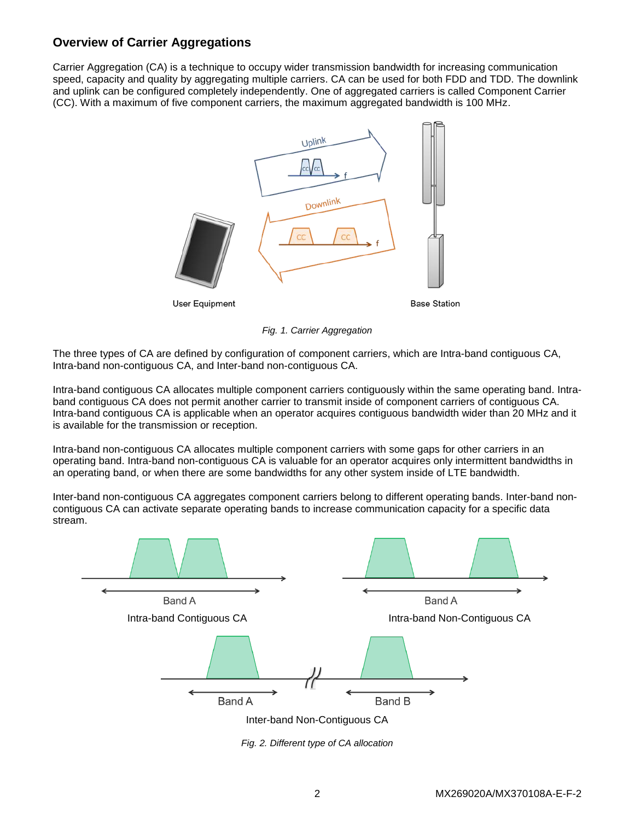## **Overview of Carrier Aggregations**

Carrier Aggregation (CA) is a technique to occupy wider transmission bandwidth for increasing communication speed, capacity and quality by aggregating multiple carriers. CA can be used for both FDD and TDD. The downlink and uplink can be configured completely independently. One of aggregated carriers is called Component Carrier (CC). With a maximum of five component carriers, the maximum aggregated bandwidth is 100 MHz.



*Fig. 1. Carrier Aggregation*

The three types of CA are defined by configuration of component carriers, which are Intra-band contiguous CA, Intra-band non-contiguous CA, and Inter-band non-contiguous CA.

Intra-band contiguous CA allocates multiple component carriers contiguously within the same operating band. Intraband contiguous CA does not permit another carrier to transmit inside of component carriers of contiguous CA. Intra-band contiguous CA is applicable when an operator acquires contiguous bandwidth wider than 20 MHz and it is available for the transmission or reception.

Intra-band non-contiguous CA allocates multiple component carriers with some gaps for other carriers in an operating band. Intra-band non-contiguous CA is valuable for an operator acquires only intermittent bandwidths in an operating band, or when there are some bandwidths for any other system inside of LTE bandwidth.

Inter-band non-contiguous CA aggregates component carriers belong to different operating bands. Inter-band noncontiguous CA can activate separate operating bands to increase communication capacity for a specific data stream.



*Fig. 2. Different type of CA allocation*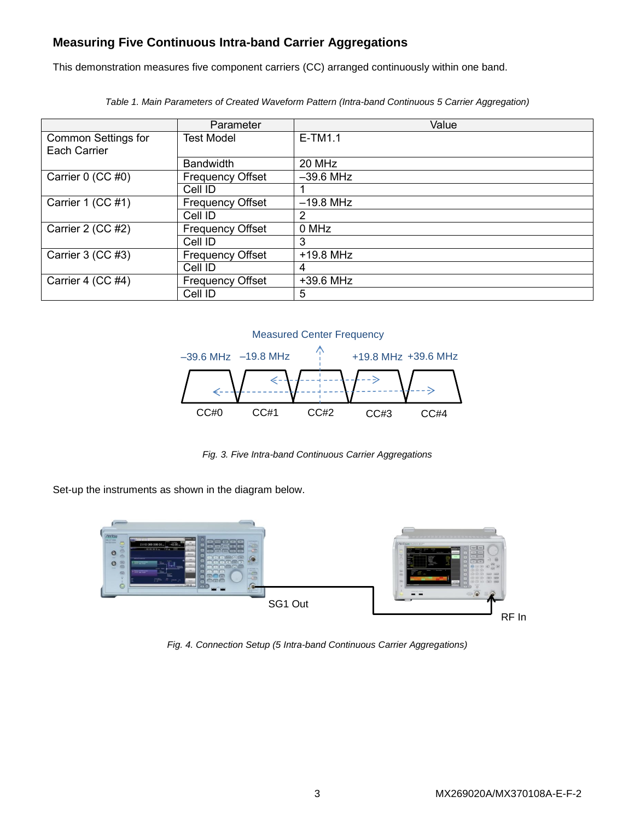## **Measuring Five Continuous Intra-band Carrier Aggregations**

This demonstration measures five component carriers (CC) arranged continuously within one band.

|                                     | Parameter               | Value       |
|-------------------------------------|-------------------------|-------------|
| Common Settings for<br>Each Carrier | Test Model              | $E-TM1.1$   |
|                                     | <b>Bandwidth</b>        | 20 MHz      |
| Carrier 0 (CC #0)                   | <b>Frequency Offset</b> | $-39.6$ MHz |
|                                     | Cell ID                 |             |
| Carrier 1 (CC #1)                   | <b>Frequency Offset</b> | $-19.8$ MHz |
|                                     | Cell ID                 | 2           |
| Carrier 2 (CC #2)                   | <b>Frequency Offset</b> | 0 MHz       |
|                                     | Cell ID                 | 3           |
| Carrier 3 (CC #3)                   | <b>Frequency Offset</b> | +19.8 MHz   |
|                                     | Cell ID                 | 4           |
| Carrier 4 (CC #4)                   | <b>Frequency Offset</b> | +39.6 MHz   |
|                                     | Cell ID                 | 5           |

*Table 1. Main Parameters of Created Waveform Pattern (Intra-band Continuous 5 Carrier Aggregation)*



*Fig. 3. Five Intra-band Continuous Carrier Aggregations*

Set-up the instruments as shown in the diagram below.



*Fig. 4. Connection Setup (5 Intra-band Continuous Carrier Aggregations)*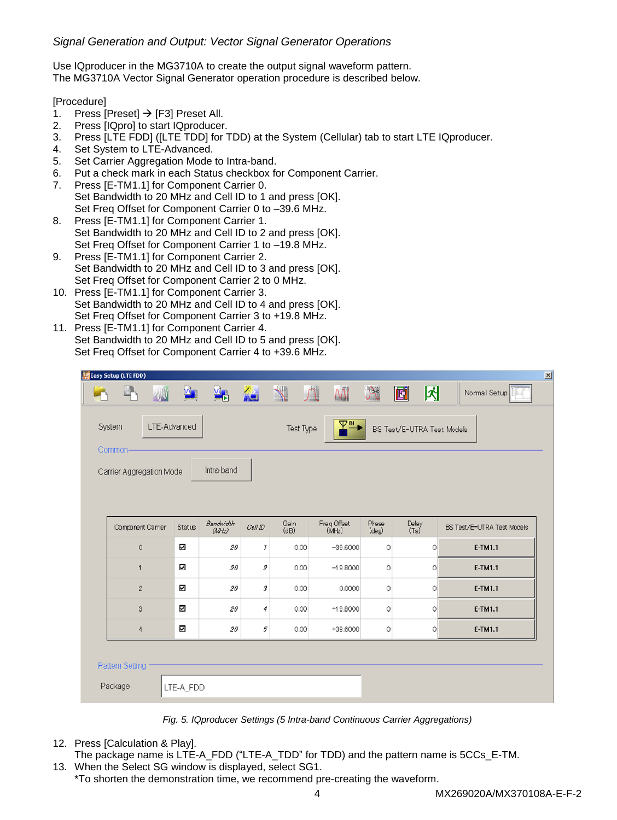## *Signal Generation and Output: Vector Signal Generator Operations*

Use IQproducer in the MG3710A to create the output signal waveform pattern. The MG3710A Vector Signal Generator operation procedure is described below.

### [Procedure]

- 1. Press [Preset]  $\rightarrow$  [F3] Preset All.
- 2. Press [IQpro] to start IQproducer.
- 3. Press [LTE FDD] ([LTE TDD] for TDD) at the System (Cellular) tab to start LTE IQproducer.
- 4. Set System to LTE-Advanced.
- 5. Set Carrier Aggregation Mode to Intra-band.
- 6. Put a check mark in each Status checkbox for Component Carrier.
- 7. Press [E-TM1.1] for Component Carrier 0. Set Bandwidth to 20 MHz and Cell ID to 1 and press [OK]. Set Freq Offset for Component Carrier 0 to –39.6 MHz.
- 8. Press [E-TM1.1] for Component Carrier 1. Set Bandwidth to 20 MHz and Cell ID to 2 and press [OK]. Set Freq Offset for Component Carrier 1 to –19.8 MHz.
- 9. Press [E-TM1.1] for Component Carrier 2. Set Bandwidth to 20 MHz and Cell ID to 3 and press [OK]. Set Freq Offset for Component Carrier 2 to 0 MHz.
- 10. Press [E-TM1.1] for Component Carrier 3. Set Bandwidth to 20 MHz and Cell ID to 4 and press [OK]. Set Freq Offset for Component Carrier 3 to +19.8 MHz.
- 11. Press [E-TM1.1] for Component Carrier 4. Set Bandwidth to 20 MHz and Cell ID to 5 and press [OK]. Set Freq Offset for Component Carrier 4 to +39.6 MHz.

|                                                   | <b>Easy Setup (LTE FDD)</b>                       |              |                         |                      |               |                                                |                     |                   |               | $\mathbf{x}$                      |  |  |  |
|---------------------------------------------------|---------------------------------------------------|--------------|-------------------------|----------------------|---------------|------------------------------------------------|---------------------|-------------------|---------------|-----------------------------------|--|--|--|
|                                                   |                                                   |              | M.                      | $\frac{1}{\sqrt{2}}$ | <b>VE</b>     | $\mathbb{R}$                                   | $\overline{M}$      | $\mathcal{R}$     | 冈<br>圃        | Normal Setup                      |  |  |  |
|                                                   | System                                            | LTE-Advanced |                         |                      |               | 오╙▶<br>Test Type<br>BS Test/E-UTRA Test Models |                     |                   |               |                                   |  |  |  |
| Common-<br>Intra-band<br>Carrier Aggregation Mode |                                                   |              |                         |                      |               |                                                |                     |                   |               |                                   |  |  |  |
|                                                   | Bandwidth<br>Component Carrier<br>Status<br>(MHz) |              |                         |                      |               | Gain<br>(dB)                                   | Freq Offset<br>(MH) | Phase<br>$(\deg)$ | Delay<br>(Ts) | <b>ES Test/E-UTRA Test Models</b> |  |  |  |
|                                                   | $\mathbf{0}$                                      |              | $\overline{\mathbf{v}}$ | 20                   | 1             | 0.00                                           | $-39.6000$          | $\circ$           | $\circ$       | E-TM1.1                           |  |  |  |
|                                                   | $\overline{1}$                                    |              | N                       | 20                   | $\mathfrak z$ | 0.00                                           | $-19.8000$          | $\circ$           | 0             | E-TM1.1                           |  |  |  |
|                                                   | $\mathbf{2}$                                      |              | $\overline{\mathbf{v}}$ | 20                   | 3             | 0.00                                           | 0.0000              | $\circ$           | 0             | E-TM1.1                           |  |  |  |
|                                                   | 3                                                 |              | $\overline{\mathbf{v}}$ | 20                   | 4             | 0.00                                           | +19.8000            | 0                 | $\circ$       | E-TM1.1                           |  |  |  |
|                                                   | $\overline{4}$                                    |              | $\overline{\mathbf{v}}$ | 20                   | 5             | 0.00                                           | +39.6000            | $\mathbb O$       | $\mathbf 0$   | E-TM1.1                           |  |  |  |
|                                                   | Pattern Setting                                   |              |                         |                      |               |                                                |                     |                   |               |                                   |  |  |  |
|                                                   | Package                                           |              | LTE-A_FDD               |                      |               |                                                |                     |                   |               |                                   |  |  |  |

*Fig. 5. IQproducer Settings (5 Intra-band Continuous Carrier Aggregations)*

- 12. Press [Calculation & Play].
- The package name is LTE-A\_FDD ("LTE-A\_TDD" for TDD) and the pattern name is 5CCs\_E-TM. 13. When the Select SG window is displayed, select SG1.
- \*To shorten the demonstration time, we recommend pre-creating the waveform.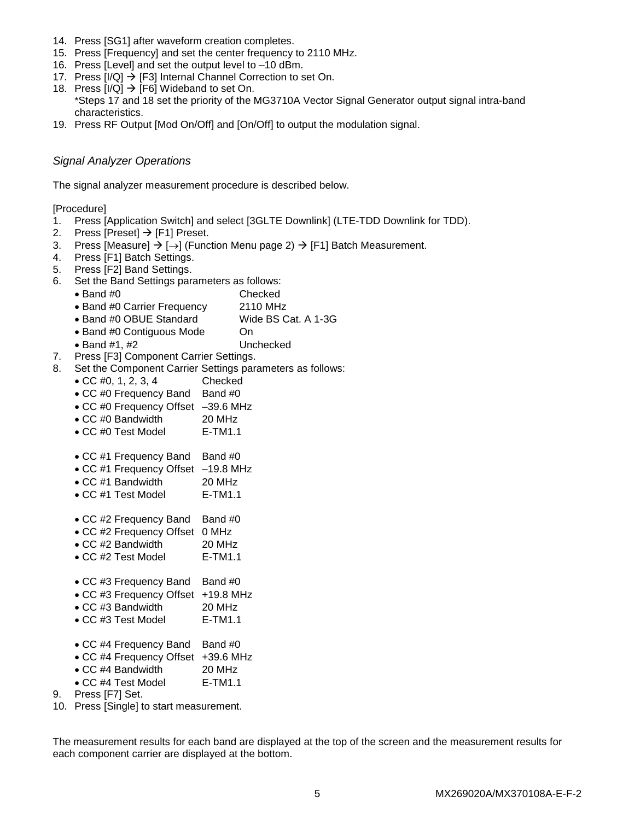- 14. Press [SG1] after waveform creation completes.
- 15. Press [Frequency] and set the center frequency to 2110 MHz.
- 16. Press [Level] and set the output level to –10 dBm.
- 17. Press  $[I/Q] \rightarrow [F3]$  Internal Channel Correction to set On.
- 18. Press  $[I/Q] \rightarrow [F6]$  Wideband to set On. \*Steps 17 and 18 set the priority of the MG3710A Vector Signal Generator output signal intra-band characteristics.
- 19. Press RF Output [Mod On/Off] and [On/Off] to output the modulation signal.

## *Signal Analyzer Operations*

The signal analyzer measurement procedure is described below.

[Procedure]

- 1. Press [Application Switch] and select [3GLTE Downlink] (LTE-TDD Downlink for TDD).
- 2. Press [Preset]  $\rightarrow$  [F1] Preset.
- 3. Press [Measure]  $\rightarrow$  [ $\rightarrow$ ] (Function Menu page 2)  $\rightarrow$  [F1] Batch Measurement.
- 4. Press [F1] Batch Settings.
- 5. Press [F2] Band Settings.
- 6. Set the Band Settings parameters as follows:
	- Band #0 Checked
	- Band #0 Carrier Frequency 2110 MHz
	- Band #0 OBUE Standard Wide BS Cat. A 1-3G
	- Band #0 Contiguous Mode On
	-
- 7. Press [F3] Component Carrier Settings.
- 8. Set the Component Carrier Settings parameters as follows:
- Band #1, #2 Unchecked • CC #0, 1, 2, 3, 4 Checked • CC #0 Frequency Band Band #0 CC #0 Frequency Offset –39.6 MHz • CC #0 Bandwidth 20 MHz • CC #0 Test Model E-TM1.1 • CC #1 Frequency Band Band #0 CC #1 Frequency Offset –19.8 MHz CC #1 Bandwidth 20 MHz • CC #1 Test Model E-TM1.1 • CC #2 Frequency Band Band #0 CC #2 Frequency Offset 0 MHz CC #2 Bandwidth 20 MHz • CC #2 Test Model E-TM1.1 • CC #3 Frequency Band Band #0 CC #3 Frequency Offset +19.8 MHz • CC #3 Bandwidth 20 MHz • CC #3 Test Model E-TM1.1 • CC #4 Frequency Band Band #0 CC #4 Frequency Offset +39.6 MHz • CC #4 Bandwidth 20 MHz • CC #4 Test Model E-TM1.1
- 9. Press [F7] Set.
- 10. Press [Single] to start measurement.

The measurement results for each band are displayed at the top of the screen and the measurement results for each component carrier are displayed at the bottom.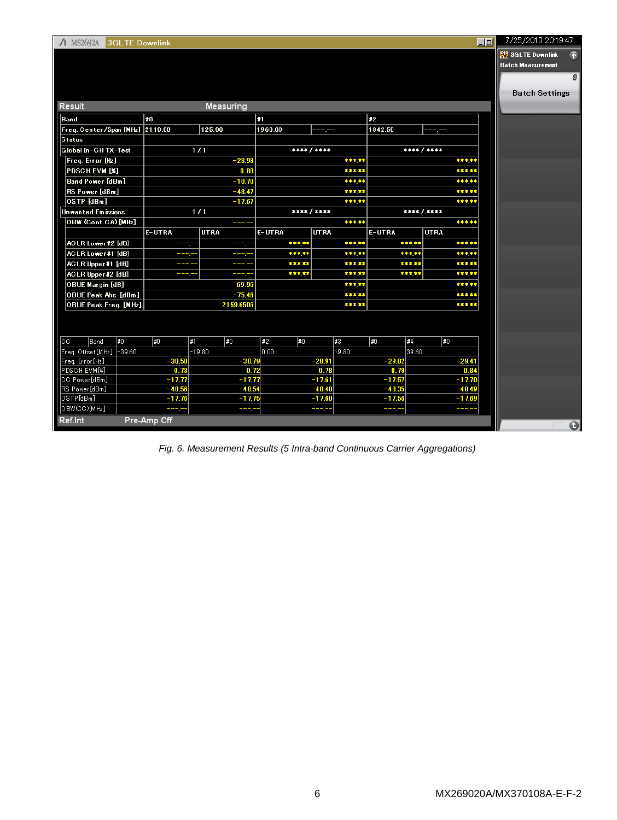| $\Lambda$ MS2692A<br><b>3GLTE Downlink</b> |             |             |             |             |           | $\Box$      | 7/25/2013 20:19:47       |
|--------------------------------------------|-------------|-------------|-------------|-------------|-----------|-------------|--------------------------|
|                                            |             |             |             |             |           |             | 界 3GLTE Downlink         |
|                                            |             |             |             |             |           |             | <b>Batch Measurement</b> |
|                                            |             |             |             |             |           |             | 8                        |
|                                            |             |             |             |             |           |             | <b>Batch Settings</b>    |
| Result                                     |             | Measuring   |             |             |           |             |                          |
| Band                                       | 20          |             | 31          |             | 1≢2       |             |                          |
| Freq. Center/Span [MHz] 2110.00            |             | 125.00      | 1960.00     | ----        | 1842.50   |             |                          |
| Status                                     |             |             |             |             |           |             |                          |
| Global In-CH TX-Test                       |             | 1/1         |             | **** / **** |           | **** / **** |                          |
| Freq. Error [Hz]                           |             | $-28.98$    |             | *****       |           | *****       |                          |
| <b>PDSCHEVM [%]</b>                        |             | 0.80        |             | *****       |           | *****       |                          |
| Band Power [dBm]                           |             | $-10.70$    |             | *****       |           | ***.**      |                          |
| RS Power [dBm]                             |             | $-48.47$    |             | *****       |           | *****       |                          |
| OSTP [dBm]                                 |             | $-17.67$    |             | *****       |           | *****       |                          |
| Unwanted Emissions                         |             | 1/1         | **** / **** |             |           | ****/****   |                          |
| OBW (Cont.CA) [MHz]                        |             | - - -       |             | *****       |           | ***.**      |                          |
|                                            | E-UTRA      | <b>UTRA</b> | E-UTRA      | <b>UTRA</b> | E-UTRA    | <b>UTRA</b> |                          |
| ACLR Lower#2 [dB]                          | ---         | ---         | *****       | *****       | *****     | *****       |                          |
| ACLR Lower#1 [dB]                          | ----        | والأ        | *****       | *****       | *****     | *****       |                          |
| ACLR Upper#1 [dB]                          | ويك         | دهاد        | *****       | *****       | *****     | *****       |                          |
| ACLR Upper#2 [dB]                          | ---         | ----        | *****       | *****       | *****     | *****       |                          |
| <b>OBUE Margin [dB]</b>                    |             | 69.96       |             | *****       |           | *****       |                          |
| OBUE Peak Abs. [dBm]                       |             | $-75.46$    |             | *****       |           | ****        |                          |
| OBUE Peak Freq. [MHz]                      |             | 2159.6506   |             | *****       |           | *****       |                          |
|                                            |             |             |             |             |           |             |                          |
|                                            |             |             |             |             |           |             |                          |
| #0<br> CC<br>Band                          | #0<br>∦1    | 1#0         | #2<br>† #0  | #3          | 1#0<br>#4 | #0          |                          |
| Freq. Offset[MHz]  -39.60                  |             | $-19.80$    | 0.00        | 19.80       | 39.60     |             |                          |
| Freq. Error [Hz]                           | $-30.50$    | $-30.79$    |             | $-28.91$    | $-29.02$  | $-29.41$    |                          |
| PDSCH EVM[%]                               | 0.73        | 0.72        |             | 0.78        | 0.78      | 0.84        |                          |
| CC Power[dBm]                              | $-17.77$    | $-17.77$    |             | $-17.61$    | $-17.57$  | $-17.70$    |                          |
| RS Power[dBm]                              | $-48.56$    | $-48.54$    |             | $-48.40$    | $-48.35$  | $-48.49$    |                          |
| OSTP[dBm]                                  | $-17.76$    | $-17.75$    |             | $-17.60$    | $-17.56$  | $-17.69$    |                          |
| OBW(CC)[MHz]                               |             | ----        |             |             |           |             |                          |
| Ref.Int                                    | Pre-Amp Off |             |             |             |           |             | $\mathbf 6$              |

*Fig. 6. Measurement Results (5 Intra-band Continuous Carrier Aggregations)*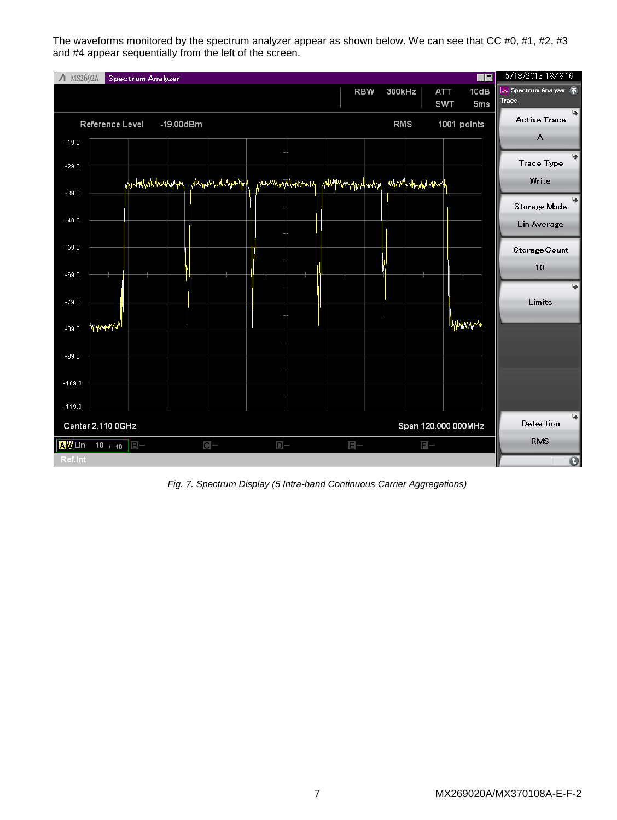The waveforms monitored by the spectrum analyzer appear as shown below. We can see that CC #0, #1, #2, #3 and #4 appear sequentially from the left of the screen.

| / MS2692A |                     | Spectrum Analyzer    |                 |                     |                                |                              |            |                          |                     | $\blacksquare$  | 5/18/2013 18:48:16  |
|-----------|---------------------|----------------------|-----------------|---------------------|--------------------------------|------------------------------|------------|--------------------------|---------------------|-----------------|---------------------|
|           |                     |                      |                 |                     |                                |                              | <b>RBW</b> | 300kHz                   | ATT                 | 10dB            | Spectrum Analyzer 1 |
|           |                     |                      |                 |                     |                                |                              |            |                          | <b>SWT</b>          | 5 <sub>ms</sub> | Trace               |
|           | Reference Level     |                      | $-19.00$ d $Bm$ |                     |                                |                              |            | <b>RMS</b>               |                     | 1001 points     | <b>Active Trace</b> |
| $-19.0$   |                     |                      |                 |                     |                                |                              |            |                          |                     |                 | A                   |
|           |                     |                      |                 |                     |                                |                              |            |                          |                     |                 | دا                  |
| $-29.0$   |                     |                      |                 |                     |                                |                              |            |                          |                     |                 | <b>Trace Type</b>   |
|           |                     | ModrWarNotwarphytytt |                 | ,Hundamandoughhuppa | mithodan <mark>har mark</mark> | <b>WithManwhippyMotoday)</b> |            | <i>phpmlynhoutpulpml</i> |                     |                 | Write               |
| $-39.0$   |                     |                      |                 |                     |                                |                              |            |                          |                     |                 |                     |
| $-49.0$   |                     |                      |                 |                     |                                |                              |            |                          |                     |                 | Storage Mode        |
|           |                     |                      |                 |                     |                                |                              |            |                          |                     |                 | Lin Average         |
| $-59.0$   |                     |                      |                 |                     |                                |                              |            |                          |                     |                 | Storage Count       |
|           |                     |                      |                 |                     |                                |                              |            |                          |                     |                 |                     |
| $-69.0$   |                     |                      |                 |                     |                                |                              |            |                          |                     |                 | 10                  |
|           |                     |                      |                 |                     |                                |                              |            |                          |                     |                 | ڇا                  |
| $-79.0$   |                     |                      |                 |                     |                                |                              |            |                          |                     |                 | Limits              |
|           |                     |                      |                 |                     |                                |                              |            |                          |                     | llyyka/ny.n4    |                     |
| $-89.0$   | <b>Philosophyll</b> |                      |                 |                     |                                |                              |            |                          |                     |                 |                     |
|           |                     |                      |                 |                     |                                |                              |            |                          |                     |                 |                     |
| $-99.0$   |                     |                      |                 |                     |                                |                              |            |                          |                     |                 |                     |
| $-109.0$  |                     |                      |                 |                     |                                |                              |            |                          |                     |                 |                     |
|           |                     |                      |                 |                     |                                |                              |            |                          |                     |                 |                     |
| $-119.0$  |                     |                      |                 |                     |                                |                              |            |                          |                     |                 |                     |
|           | Center 2.110 0GHz   |                      |                 |                     |                                |                              |            |                          | Span 120.000 000MHz |                 | یا<br>Detection     |
| A型Lin     | 10 / 10             | $B -$                |                 | $C -$               | $D -$                          | $E -$                        |            |                          | $F -$               |                 | <b>RMS</b>          |
| Ref.Int   |                     |                      |                 |                     |                                |                              |            |                          |                     |                 | $\bullet$           |

*Fig. 7. Spectrum Display (5 Intra-band Continuous Carrier Aggregations)*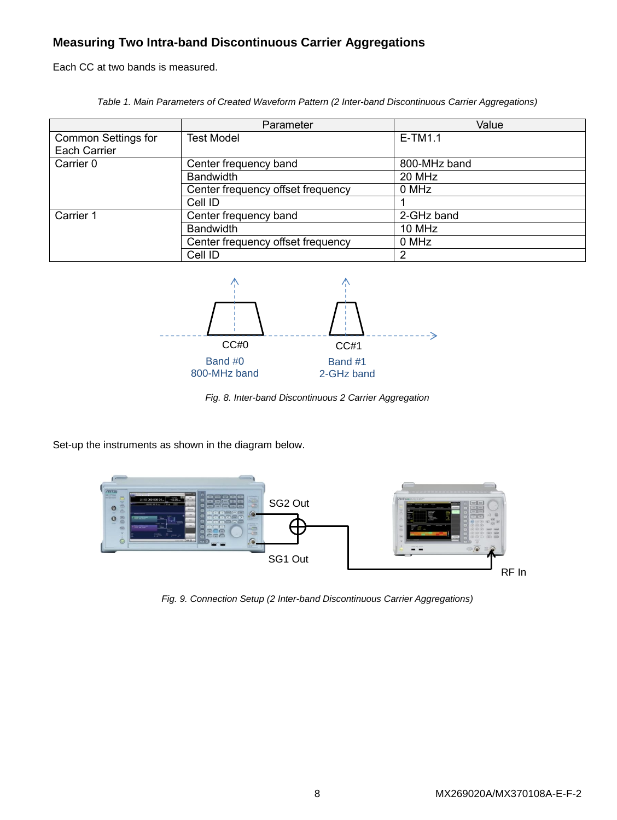## **Measuring Two Intra-band Discontinuous Carrier Aggregations**

Each CC at two bands is measured.

*Table 1. Main Parameters of Created Waveform Pattern (2 Inter-band Discontinuous Carrier Aggregations)*

|                                     | Parameter                         | Value        |
|-------------------------------------|-----------------------------------|--------------|
| Common Settings for<br>Each Carrier | Test Model                        | $E-TM1.1$    |
| Carrier 0                           | Center frequency band             | 800-MHz band |
|                                     | <b>Bandwidth</b>                  | 20 MHz       |
|                                     | Center frequency offset frequency | 0 MHz        |
|                                     | Cell ID                           |              |
| Carrier 1                           | Center frequency band             | 2-GHz band   |
|                                     | <b>Bandwidth</b>                  | 10 MHz       |
|                                     | Center frequency offset frequency | 0 MHz        |
|                                     | Cell ID                           | 2            |



*Fig. 8. Inter-band Discontinuous 2 Carrier Aggregation*

Set-up the instruments as shown in the diagram below.



*Fig. 9. Connection Setup (2 Inter-band Discontinuous Carrier Aggregations)*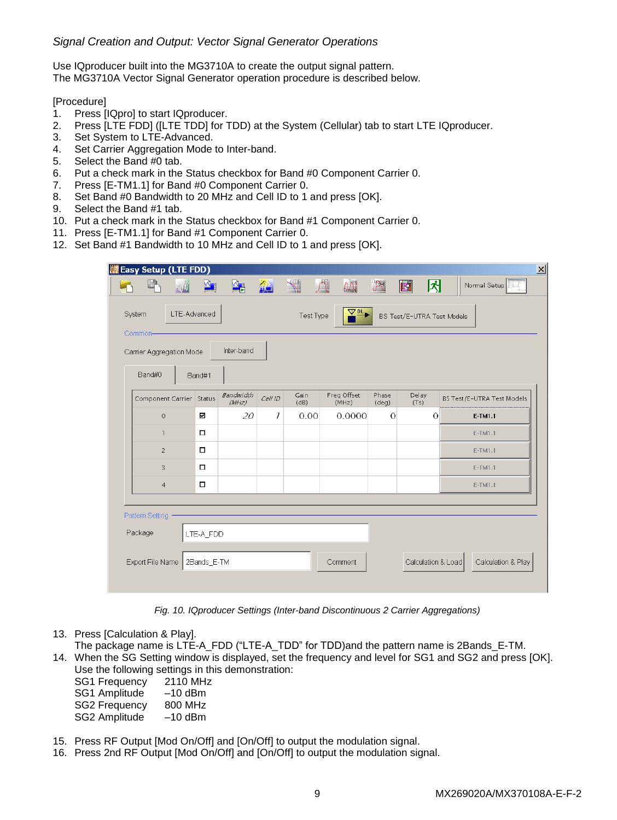## *Signal Creation and Output: Vector Signal Generator Operations*

Use IQproducer built into the MG3710A to create the output signal pattern. The MG3710A Vector Signal Generator operation procedure is described below.

#### [Procedure]

- 1. Press [IQpro] to start IQproducer.
- 2. Press [LTE FDD] ([LTE TDD] for TDD) at the System (Cellular) tab to start LTE IQproducer.
- 3. Set System to LTE-Advanced.
- 4. Set Carrier Aggregation Mode to Inter-band.
- 5. Select the Band #0 tab.
- 6. Put a check mark in the Status checkbox for Band #0 Component Carrier 0.
- 7. Press [E-TM1.1] for Band #0 Component Carrier 0.
- 8. Set Band #0 Bandwidth to 20 MHz and Cell ID to 1 and press [OK].
- 9. Select the Band #1 tab.
- 10. Put a check mark in the Status checkbox for Band #1 Component Carrier 0.
- 11. Press [E-TM1.1] for Band #1 Component Carrier 0.
- 12. Set Band #1 Bandwidth to 10 MHz and Cell ID to 1 and press [OK].

| LIE Easy Setup (LTE FDD) |                          |   |                    |                |                 |                      |                |                  |                            |                    | 図 |
|--------------------------|--------------------------|---|--------------------|----------------|-----------------|----------------------|----------------|------------------|----------------------------|--------------------|---|
|                          |                          | W | Μ∎                 | $\frac{M}{D}$  | AC <sub>1</sub> | $\mathbb{R}$         | $\sqrt{N}$     | <sup>Clips</sup> | 圃<br>团                     | Normal Setup       |   |
| System<br>Common-        |                          |   | LTE-Advanced       |                |                 | Test Type            | ヱ゚             |                  | BS Test/E-UTRA Test Models |                    |   |
|                          | Carrier Aggregation Mode |   |                    | Inter-band     |                 |                      |                |                  |                            |                    |   |
|                          | Band#0                   |   | Band#1             |                |                 |                      |                |                  |                            |                    |   |
| Component Carrier Status |                          |   | Bandwidth<br>(MHz) | Cell ID        | Gain<br>(dB)    | Freq Offset<br>(MHz) | Phase<br>(deq) | Delay<br>(T5)    | BS Test/E-UTRA Test Models |                    |   |
|                          | ⊠<br>$\circ$             |   | 20                 | $\overline{I}$ | 0.00            | 0.0000               | $\overline{O}$ | $\Omega$         | E-TM1.1                    |                    |   |
|                          | $\overline{\phantom{a}}$ |   | $\Box$             |                |                 |                      |                |                  |                            | E-TM1.1            |   |
|                          | $\overline{c}$           |   | $\Box$             |                |                 |                      |                |                  |                            | E-TM1.1            |   |
|                          | 3                        |   | $\Box$             |                |                 |                      |                |                  |                            | E-TM1.1            |   |
|                          | $\overline{4}$           |   | $\Box$             |                |                 |                      |                |                  |                            | E-TM1.1            |   |
|                          | Pattern Setting -        |   |                    |                |                 |                      |                |                  |                            |                    |   |
| Package                  |                          |   | LTE-A FDD          |                |                 |                      |                |                  |                            |                    |   |
|                          | Export File Name         |   | 2Bands_E-TM        |                |                 |                      | Comment        |                  | Calculation & Load         | Calculation & Play |   |

*Fig. 10. IQproducer Settings (Inter-band Discontinuous 2 Carrier Aggregations)*

- 13. Press [Calculation & Play].
- The package name is LTE-A\_FDD ("LTE-A\_TDD" for TDD)and the pattern name is 2Bands\_E-TM.
- 14. When the SG Setting window is displayed, set the frequency and level for SG1 and SG2 and press [OK]. Use the following settings in this demonstration:

| <b>SG1 Frequency</b> | 2110 MHz  |
|----------------------|-----------|
| SG1 Amplitude        | $-10$ dBm |
| <b>SG2 Frequency</b> | 800 MHz   |
| SG2 Amplitude        | $-10$ dBm |

- 15. Press RF Output [Mod On/Off] and [On/Off] to output the modulation signal.
- 16. Press 2nd RF Output [Mod On/Off] and [On/Off] to output the modulation signal.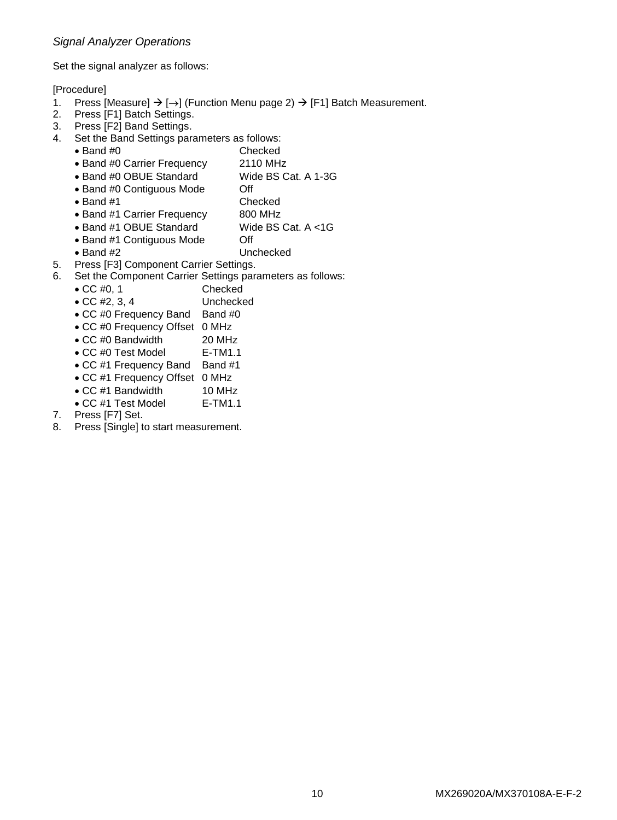## *Signal Analyzer Operations*

Set the signal analyzer as follows:

[Procedure]

- 1. Press [Measure]  $\rightarrow$  [ $\rightarrow$ ] (Function Menu page 2)  $\rightarrow$  [F1] Batch Measurement.
- 2. Press [F1] Batch Settings.
- 3. Press [F2] Band Settings.
- 4. Set the Band Settings parameters as follows:
	- Band #0 Checked
	- Band #0 Carrier Frequency 2110 MHz
	- Band #0 OBUE Standard Wide BS Cat. A 1-3G
	- Band #0 Contiguous Mode Off
	- Band #1 Checked
	- Band #1 Carrier Frequency 800 MHz
	- Band #1 OBUE Standard Wide BS Cat. A <1G
	- Band #1 Contiguous Mode Off
	- Band #2 Unchecked
		-
- 5. Press [F3] Component Carrier Settings.
- 6. Set the Component Carrier Settings parameters as follows:
	- CC #0, 1 Checked
	- CC #2, 3, 4 Unchecked
	- CC #0 Frequency Band Band #0
	- CC #0 Frequency Offset 0 MHz
	- CC #0 Bandwidth 20 MHz
	- CC #0 Test Model E-TM1.1
	- CC #1 Frequency Band Band #1
	- CC #1 Frequency Offset 0 MHz
	- CC #1 Bandwidth 10 MHz
	- CC #1 Test Model E-TM1.1
- 7. Press [F7] Set.
- 8. Press [Single] to start measurement.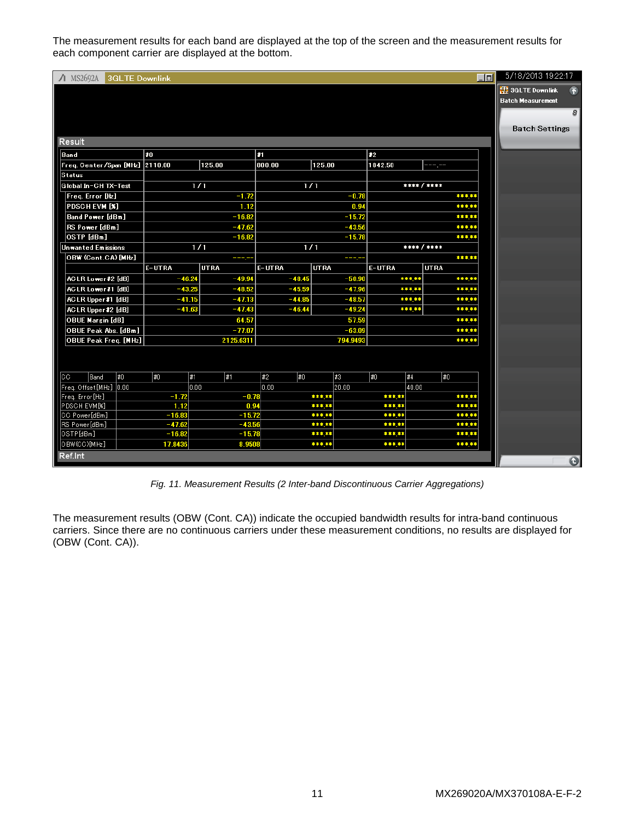The measurement results for each band are displayed at the top of the screen and the measurement results for each component carrier are displayed at the bottom.

| $\Lambda$ MS2692A<br><b>3GLTE Downlink</b> |          |             |           |             |                |             | 回     | 5/18/2013 19:22:17       |
|--------------------------------------------|----------|-------------|-----------|-------------|----------------|-------------|-------|--------------------------|
|                                            |          |             |           |             |                |             |       | 3GLTE Downlink<br>量      |
|                                            |          |             |           |             |                |             |       | <b>Batch Measurement</b> |
|                                            |          |             |           |             |                |             |       | 8                        |
|                                            |          |             |           |             |                |             |       |                          |
|                                            |          |             |           |             |                |             |       | <b>Batch Settings</b>    |
| <b>Result</b>                              |          |             |           |             |                |             |       |                          |
| Band                                       | ≵0       |             | и         |             | $\mathbf{z}_2$ |             |       |                          |
| Freq. Center/Span [MHz] 2110.00            |          | 125.00      | 800.00    | 125.00      | 1842.50        |             |       |                          |
| <b>Status</b>                              |          |             |           |             |                |             |       |                          |
| Global In-CH TX-Test                       |          | 1/1         |           | 1/1         |                | **** / **** |       |                          |
| Freq. Error [Hz]                           |          | $-1.72$     |           | $-0.78$     |                |             | ***** |                          |
| <b>PDSCHEVM [%]</b>                        |          | 1.12        |           | 0.94        |                |             | ***** |                          |
| Band Power [dBm]                           |          | $-16.82$    |           | $-15.72$    |                |             | ***** |                          |
| RS Power [dBm]                             |          | $-47.62$    |           | $-43.56$    |                |             | ***** |                          |
| OSTP [dBm]                                 |          | $-16.82$    |           | $-15.78$    |                |             | ***** |                          |
| Unwanted Emissions                         |          | 1/1         | 1/1       |             |                | **** / **** |       |                          |
| OBW (Cont.CA) [MHz]                        |          | ----        |           | ----        |                |             | ***** |                          |
|                                            | E-UTRA   | <b>UTRA</b> | E-UTRA    | <b>UTRA</b> | E-UTRA         | <b>UTRA</b> |       |                          |
| ACLR Lower#2 [dB]                          | $-46.24$ | $-49.94$    | $-48.45$  | $-50.90$    | *****          |             | ***** |                          |
| ACLR Lower#1 [dB]                          | $-43.25$ | $-48.52$    | $-45.59$  | $-47.96$    | *****          |             | ***** |                          |
| ACLR Upper#1 [dB]                          | $-41.15$ | $-47.13$    | $-44.85$  | $-48.57$    | *****          |             | ***** |                          |
| ACLR Upper#2 [dB]                          | $-41.63$ | $-47.43$    | $-46.44$  | $-49.24$    | *****          |             | ***** |                          |
| <b>OBUE Margin [dB]</b>                    |          | 64.57       |           | 57.59       |                |             | ***** |                          |
| OBUE Peak Abs. [dBm]                       |          | -77.07      |           | $-63.09$    |                |             | ***** |                          |
| OBUE Peak Freq. [MHz]                      |          | 2125.6311   |           | 794.9493    |                |             | ***** |                          |
|                                            |          |             |           |             |                |             |       |                          |
|                                            |          |             |           |             |                |             |       |                          |
| #0<br>lcc<br>Band                          | #0       | 1#<br>∥#1   | #2<br>1#0 | #3          | #0<br>#4       | #0          |       |                          |
| Freq. Offset[MHz] 0.00                     |          | 0.00        | 0.00      | 20.00       |                | 40.00       |       |                          |
| Freq. Error [Hz]                           | $-1.72$  | $-0.78$     |           | *****       | *****          |             | ***** |                          |
| PDSCH EVM[%]                               | 1.12     | 0.94        |           | *****       | *****          |             | ***** |                          |
| CC Power[dBm]                              | $-16.83$ | $-15.72$    |           | *****       | *****          |             | ***** |                          |
| RS Power[dBm]                              | $-47.62$ | $-43.56$    |           | *****       | *****          |             | ***** |                          |
| OSTP[dBm]                                  | $-16.82$ | $-15.78$    |           | *****       | *****          |             | ***** |                          |
| OBW(CC)[MHz]                               | 17.8436  | 8.9508      |           | *****       | *****          |             | ***** |                          |
| Ref.Int                                    |          |             |           |             |                |             |       | $\bullet$                |
|                                            |          |             |           |             |                |             |       |                          |

*Fig. 11. Measurement Results (2 Inter-band Discontinuous Carrier Aggregations)*

The measurement results (OBW (Cont. CA)) indicate the occupied bandwidth results for intra-band continuous carriers. Since there are no continuous carriers under these measurement conditions, no results are displayed for (OBW (Cont. CA)).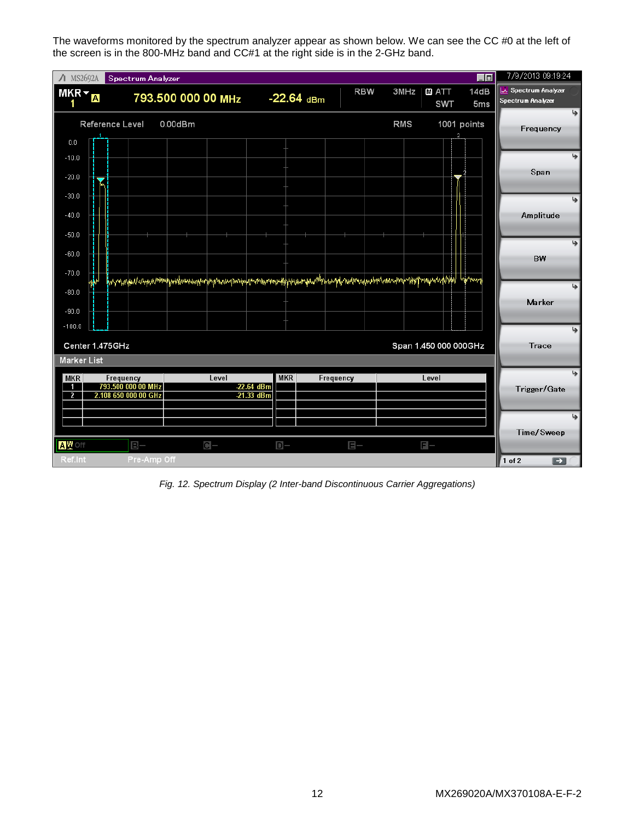The waveforms monitored by the spectrum analyzer appear as shown below. We can see the CC #0 at the left of the screen is in the 800-MHz band and CC#1 at the right side is in the 2-GHz band.

| $\Lambda$ MS2692A                                       |                 | Spectrum Analyzer                                       |                                                                                                             |                            |              |            |            |                            | 画面                      | 7/9/2013 09:19:24                      |    |
|---------------------------------------------------------|-----------------|---------------------------------------------------------|-------------------------------------------------------------------------------------------------------------|----------------------------|--------------|------------|------------|----------------------------|-------------------------|----------------------------------------|----|
| $MKR -$                                                 | A               |                                                         | 793.500 000 00 MHz                                                                                          |                            | $-22.64$ dBm | <b>RBW</b> | 3MHz       | <b>M</b> ATT<br><b>SWT</b> | 14dB<br>5 <sub>ms</sub> | Spectrum Analyzer<br>Spectrum Analyzer |    |
| $0.0\,$                                                 | Reference Level |                                                         | $0.00$ d $Bm$                                                                                               |                            |              |            | <b>RMS</b> |                            | 1001 points             | Frequency                              | دا |
| $-10.0$<br>$-20.0$                                      |                 |                                                         |                                                                                                             |                            |              |            |            |                            |                         | Span                                   | پا |
| $-30.0$<br>$-40.0$<br>$-50.0$                           |                 |                                                         |                                                                                                             |                            |              |            |            |                            |                         | Amplitude                              | ھا |
| $-60.0$<br>$-70.0$                                      | Ť.              |                                                         | hannykalusyaammuhyudousuunyinphymaunpusiuluntukmisekyhyuanparhhuanparadraakasinhaannyinkhymauntikid hijnuny |                            |              |            |            |                            |                         | BW                                     | ھا |
| $-80.0$<br>$-90.0$                                      |                 |                                                         |                                                                                                             |                            |              |            |            |                            |                         | Marker                                 | ھا |
| $-100.0$<br><b>Marker List</b>                          | Center 1.475GHz |                                                         |                                                                                                             |                            |              |            |            | Span 1.450 000 000GHz      |                         | Trace                                  | دا |
| <b>MKR</b><br>$\overline{\mathbf{1}}$<br>$\overline{2}$ |                 | Frequency<br>793.500 000 00 MHz<br>2.108 650 000 00 GHz | Level                                                                                                       | $-22.64$ dBm<br>-21.33 dBm | <b>MKR</b>   | Frequency  |            | Level                      |                         | Trigger/Gate                           |    |
| A型Off                                                   |                 | $B -$                                                   | $C -$                                                                                                       | $D-$                       |              | $E -$      |            | $F -$                      |                         | Time/Sweep                             |    |
| Ref.Int                                                 |                 | Pre-Amp Off                                             |                                                                                                             |                            |              |            |            |                            |                         | $1$ of $2$<br>$\Box$                   |    |

*Fig. 12. Spectrum Display (2 Inter-band Discontinuous Carrier Aggregations)*